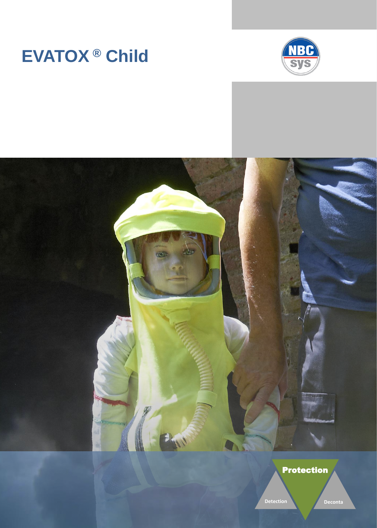# **EVATOX ® Child**